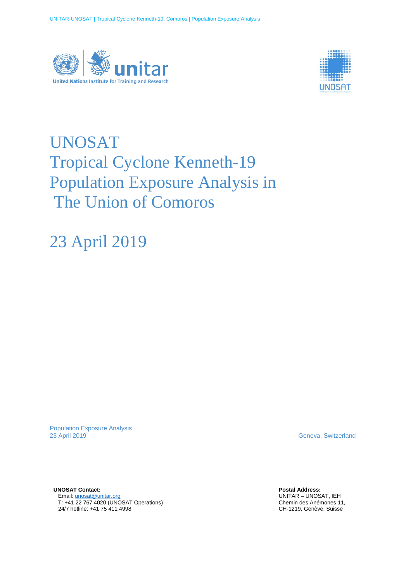



# UNOSAT Tropical Cyclone Kenneth-19 Population Exposure Analysis in The Union of Comoros

23 April 2019

Population Exposure Analysis<br>23 April 2019

Geneva, Switzerland

**UNOSAT Contact:**  Email[: unosat@unitar.org](mailto:unosat@unitar.org) T: +41 22 767 4020 (UNOSAT Operations) 24/7 hotline: +41 75 411 4998

**Postal Address:** UNITAR – UNOSAT, IEH Chemin des Anémones 11, CH-1219, Genève, Suisse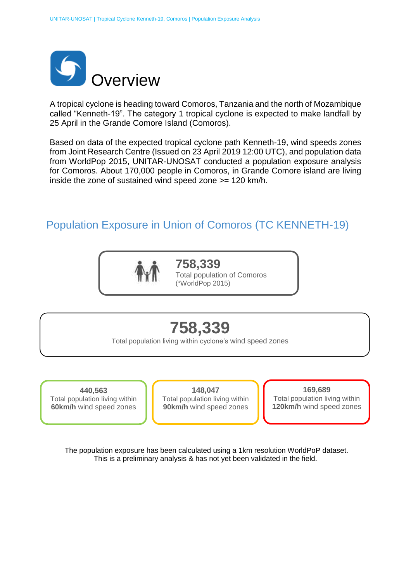

A tropical cyclone is heading toward Comoros, Tanzania and the north of Mozambique called "Kenneth-19". The category 1 tropical cyclone is expected to make landfall by 25 April in the Grande Comore Island (Comoros).

Based on data of the expected tropical cyclone path Kenneth-19, wind speeds zones from Joint Research Centre (Issued on 23 April 2019 12:00 UTC), and population data from WorldPop 2015, UNITAR-UNOSAT conducted a population exposure analysis for Comoros. About 170,000 people in Comoros, in Grande Comore island are living inside the zone of sustained wind speed zone >= 120 km/h.

## Population Exposure in Union of Comoros (TC KENNETH-19)



**758,339** Total population of Comoros (\*WorldPop 2015)

## **758,339**

Total population living within cyclone's wind speed zones

**440,563** Total population living within **60km/h** wind speed zones

**148,047** Total population living within **90km/h** wind speed zones

**169,689** Total population living within **120km/h** wind speed zones

The population exposure has been calculated using a 1km resolution WorldPoP dataset. This is a preliminary analysis & has not yet been validated in the field.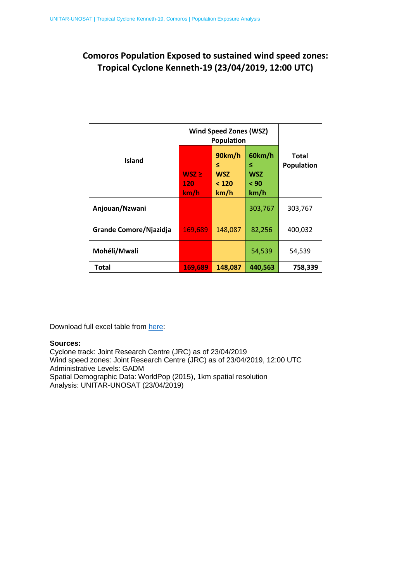### **Comoros Population Exposed to sustained wind speed zones: Tropical Cyclone Kenneth-19 (23/04/2019, 12:00 UTC)**

| <b>Island</b>          | <b>Wind Speed Zones (WSZ)</b><br><b>Population</b> |                                            |                                           |                            |
|------------------------|----------------------------------------------------|--------------------------------------------|-------------------------------------------|----------------------------|
|                        | $WSZ \geq$<br>120<br>km/h                          | 90km/h<br>≤<br><b>WSZ</b><br>< 120<br>km/h | 60km/h<br>≤<br><b>WSZ</b><br>< 90<br>km/h | Total<br><b>Population</b> |
| Anjouan/Nzwani         |                                                    |                                            | 303,767                                   | 303,767                    |
| Grande Comore/Njazidja | 169,689                                            | 148,087                                    | 82,256                                    | 400,032                    |
| Mohéli/Mwali           |                                                    |                                            | 54,539                                    | 54,539                     |
| Total                  | 169,689                                            | 148,087                                    | 440,563                                   | 758,339                    |

Download full excel table from [here:](http://unosat-maps.web.cern.ch/unosat-maps/MZ/TC20190423MOZ/UNOSAT_population_exposure_Kenneth19.xlsx)

#### **Sources:**

Cyclone track: Joint Research Centre (JRC) as of 23/04/2019 Wind speed zones: Joint Research Centre (JRC) as of 23/04/2019, 12:00 UTC Administrative Levels: GADM Spatial Demographic Data: WorldPop (2015), 1km spatial resolution Analysis: UNITAR-UNOSAT (23/04/2019)